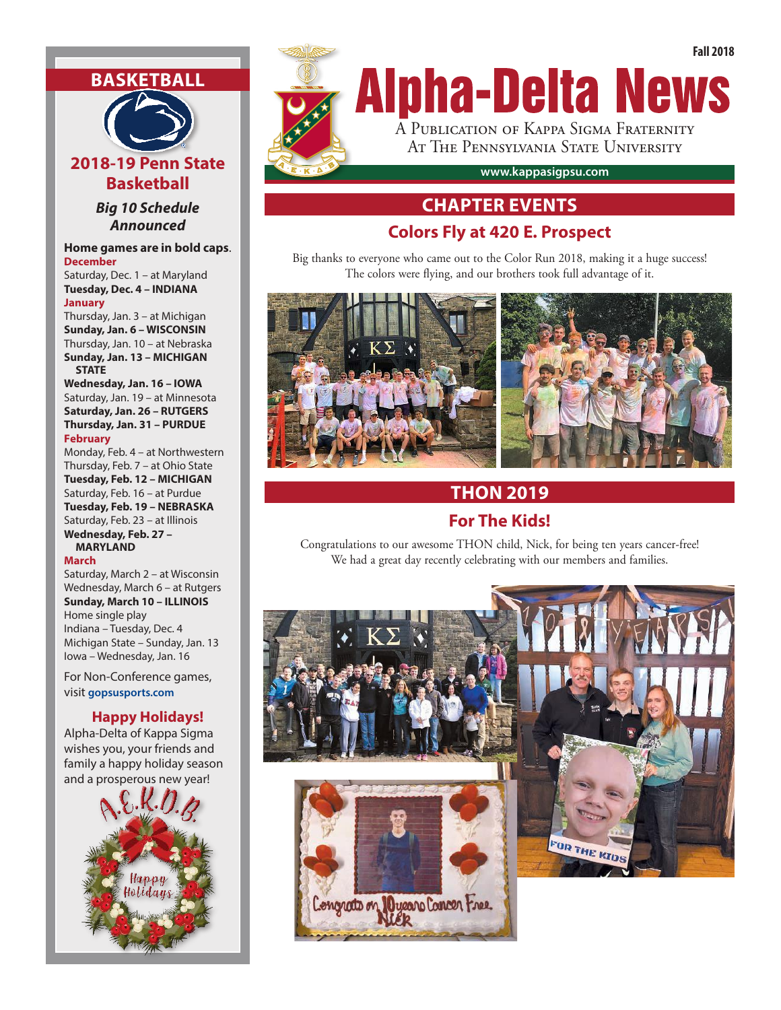## **BASKETBALL**



*Big 10 Schedule Announced*

#### **Home games are in bold caps**. **December**

Saturday, Dec. 1 – at Maryland **Tuesday, Dec. 4 – INDIANA**

#### **January**

Thursday, Jan. 3 – at Michigan **Sunday, Jan. 6 – WISCONSIN** Thursday, Jan. 10 – at Nebraska **Sunday, Jan. 13 – MICHIGAN STATE**

**Wednesday, Jan. 16 – IOWA** Saturday, Jan. 19 – at Minnesota **Saturday, Jan. 26 – RUTGERS Thursday, Jan. 31 – PURDUE**

#### **February**

Monday, Feb. 4 – at Northwestern Thursday, Feb. 7 – at Ohio State **Tuesday, Feb. 12 – MICHIGAN** Saturday, Feb. 16 – at Purdue **Tuesday, Feb. 19 – NEBRASKA** Saturday, Feb. 23 – at Illinois **Wednesday, Feb. 27 – MARYLAND**

#### **March**

Saturday, March 2 – at Wisconsin Wednesday, March 6 – at Rutgers **Sunday, March 10 – ILLINOIS** Home single play Indiana – Tuesday, Dec. 4 Michigan State – Sunday, Jan. 13 Iowa – Wednesday, Jan. 16

For Non-Conference games, visit **gopsusports.com**

#### **Happy Holidays!**

Alpha-Delta of Kappa Sigma wishes you, your friends and family a happy holiday season and a prosperous new year!





## **CHAPTER EVENTS**

### **Colors Fly at 420 E. Prospect**

Big thanks to everyone who came out to the Color Run 2018, making it a huge success! The colors were flying, and our brothers took full advantage of it.



## **THON 2019 For The Kids!**

Congratulations to our awesome THON child, Nick, for being ten years cancer-free! We had a great day recently celebrating with our members and families.

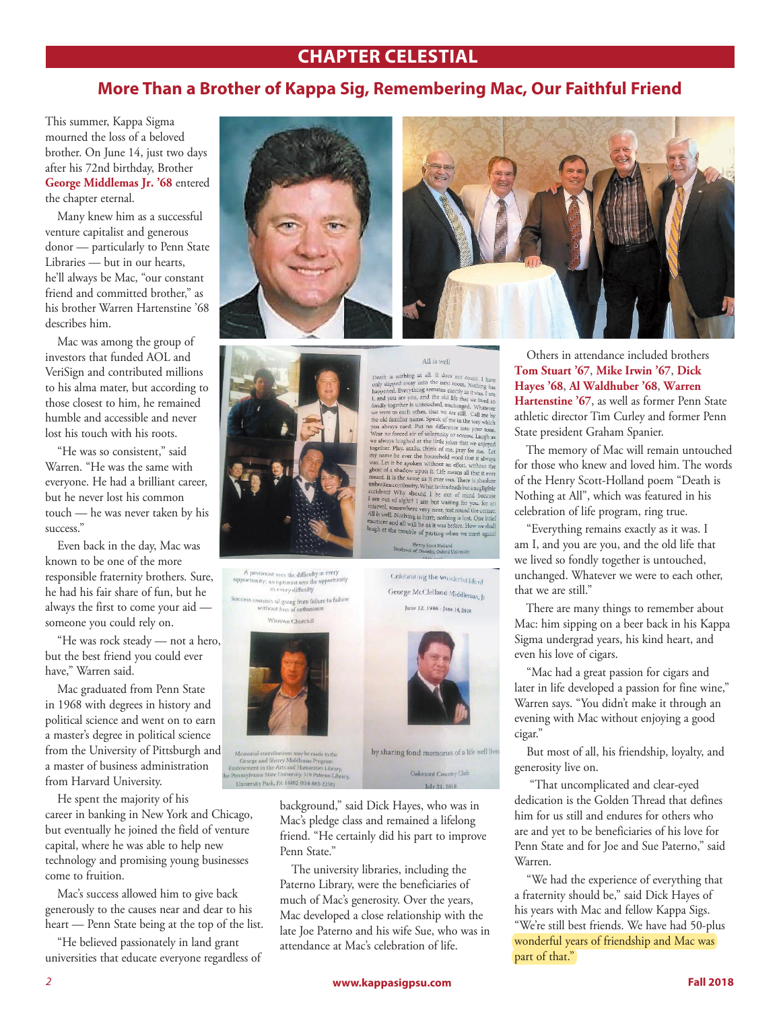### **CHAPTER CELESTIAL**

### **More Than a Brother of Kappa Sig, Remembering Mac, Our Faithful Friend**

This summer, Kappa Sigma mourned the loss of a beloved brother. On June 14, just two days after his 72nd birthday, Brother **George Middlemas Jr. '68** entered the chapter eternal.

Many knew him as a successful venture capitalist and generous donor — particularly to Penn State Libraries — but in our hearts, he'll always be Mac, "our constant friend and committed brother," as his brother Warren Hartenstine '68 describes him.

Mac was among the group of investors that funded AOL and VeriSign and contributed millions to his alma mater, but according to those closest to him, he remained humble and accessible and never lost his touch with his roots.

"He was so consistent," said Warren. "He was the same with everyone. He had a brilliant career, but he never lost his common touch — he was never taken by his success."

Even back in the day, Mac was known to be one of the more responsible fraternity brothers. Sure, he had his fair share of fun, but he always the first to come your aid someone you could rely on.

"He was rock steady — not a hero, but the best friend you could ever have," Warren said.

Mac graduated from Penn State in 1968 with degrees in history and political science and went on to earn a master's degree in political science from the University of Pittsburgh and a master of business administration from Harvard University.

He spent the majority of his career in banking in New York and Chicago, but eventually he joined the field of venture capital, where he was able to help new technology and promising young businesses come to fruition.

Mac's success allowed him to give back generously to the causes near and dear to his heart — Penn State being at the top of the list.

"He believed passionately in land grant universities that educate everyone regardless of



All is well and the set of the next room. I have a payar and the state of the next room. Nothing has larged away into the next room. Nothing has 1 and you are you, and the old life that we like all  $\sim$  that we set to eac Henry Scott Holland<br>r of Divinity, Oxford Un

All is well

A pessimist sees the difficulty in every  $\alpha$  pessimist sees the difficulty in every<br>opportunity; an optimist sees the opportunity<br> $\frac{1}{2}$  in every difficulty

<sup>8</sup> consists of going from failure to failure<br>without loss of enthusiasm Winston Churchill



democial contributions may be made to the<br>George and Sherry Middlemas Program<br>Iowment in the Arts and Humanities Library,<br>maylvania State University, 510 Paterno Library, sity Park, PA 16802 (814-865-2258)



Celebrating the wonderful life of

background," said Dick Hayes, who was in Mac's pledge class and remained a lifelong friend. "He certainly did his part to improve Penn State."

The university libraries, including the Paterno Library, were the beneficiaries of much of Mac's generosity. Over the years, Mac developed a close relationship with the late Joe Paterno and his wife Sue, who was in attendance at Mac's celebration of life.

Others in attendance included brothers **Tom Stuart '67**, **Mike Irwin '67**, **Dick Hayes '68**, **Al Waldhuber '68**, **Warren Hartenstine '67**, as well as former Penn State athletic director Tim Curley and former Penn State president Graham Spanier.

The memory of Mac will remain untouched for those who knew and loved him. The words of the Henry Scott-Holland poem "Death is Nothing at All", which was featured in his celebration of life program, ring true.

"Everything remains exactly as it was. I am I, and you are you, and the old life that we lived so fondly together is untouched, unchanged. Whatever we were to each other, that we are still."

There are many things to remember about Mac: him sipping on a beer back in his Kappa Sigma undergrad years, his kind heart, and even his love of cigars.

"Mac had a great passion for cigars and later in life developed a passion for fine wine," Warren says. "You didn't make it through an evening with Mac without enjoying a good cigar."

But most of all, his friendship, loyalty, and generosity live on.

 "That uncomplicated and clear-eyed dedication is the Golden Thread that defines him for us still and endures for others who are and yet to be beneficiaries of his love for Penn State and for Joe and Sue Paterno," said Warren.

"We had the experience of everything that a fraternity should be," said Dick Hayes of his years with Mac and fellow Kappa Sigs. "We're still best friends. We have had 50-plus wonderful years of friendship and Mac was part of that."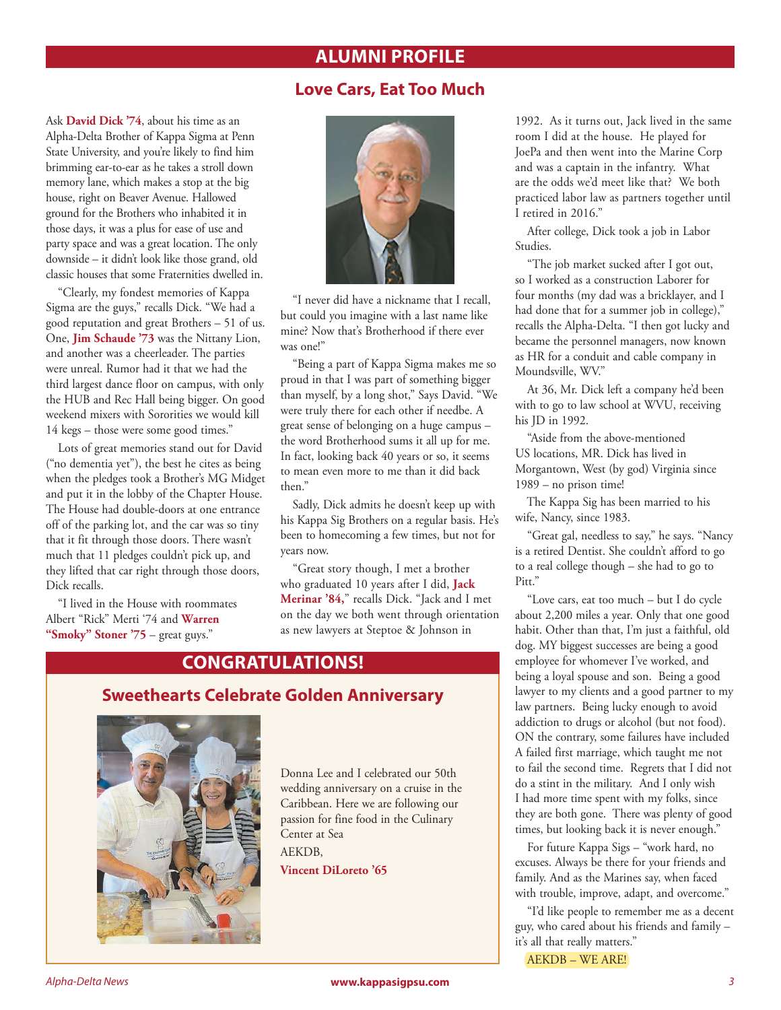### **ALUMNI PROFILE**

#### **Love Cars, Eat Too Much**

Ask **David Dick '74**, about his time as an Alpha-Delta Brother of Kappa Sigma at Penn State University, and you're likely to find him brimming ear-to-ear as he takes a stroll down memory lane, which makes a stop at the big house, right on Beaver Avenue. Hallowed ground for the Brothers who inhabited it in those days, it was a plus for ease of use and party space and was a great location. The only downside – it didn't look like those grand, old classic houses that some Fraternities dwelled in.

"Clearly, my fondest memories of Kappa Sigma are the guys," recalls Dick. "We had a good reputation and great Brothers – 51 of us. One, **Jim Schaude '73** was the Nittany Lion, and another was a cheerleader. The parties were unreal. Rumor had it that we had the third largest dance floor on campus, with only the HUB and Rec Hall being bigger. On good weekend mixers with Sororities we would kill 14 kegs – those were some good times."

Lots of great memories stand out for David ("no dementia yet"), the best he cites as being when the pledges took a Brother's MG Midget and put it in the lobby of the Chapter House. The House had double-doors at one entrance off of the parking lot, and the car was so tiny that it fit through those doors. There wasn't much that 11 pledges couldn't pick up, and they lifted that car right through those doors, Dick recalls.

"I lived in the House with roommates Albert "Rick" Merti '74 and **Warren "Smoky" Stoner '75** – great guys."



"I never did have a nickname that I recall, but could you imagine with a last name like mine? Now that's Brotherhood if there ever was one!"

"Being a part of Kappa Sigma makes me so proud in that I was part of something bigger than myself, by a long shot," Says David. "We were truly there for each other if needbe. A great sense of belonging on a huge campus – the word Brotherhood sums it all up for me. In fact, looking back 40 years or so, it seems to mean even more to me than it did back then."

Sadly, Dick admits he doesn't keep up with his Kappa Sig Brothers on a regular basis. He's been to homecoming a few times, but not for years now.

"Great story though, I met a brother who graduated 10 years after I did, **Jack Merinar '84,**" recalls Dick. "Jack and I met on the day we both went through orientation as new lawyers at Steptoe & Johnson in

### **CONGRATULATIONS!**



Donna Lee and I celebrated our 50th wedding anniversary on a cruise in the Caribbean. Here we are following our passion for fine food in the Culinary Center at Sea AEKDB,

**Vincent DiLoreto '65**

1992. As it turns out, Jack lived in the same room I did at the house. He played for JoePa and then went into the Marine Corp and was a captain in the infantry. What are the odds we'd meet like that? We both practiced labor law as partners together until I retired in 2016."

After college, Dick took a job in Labor Studies.

"The job market sucked after I got out, so I worked as a construction Laborer for four months (my dad was a bricklayer, and I had done that for a summer job in college)," recalls the Alpha-Delta. "I then got lucky and became the personnel managers, now known as HR for a conduit and cable company in Moundsville, WV."

At 36, Mr. Dick left a company he'd been with to go to law school at WVU, receiving his JD in 1992.

"Aside from the above-mentioned US locations, MR. Dick has lived in Morgantown, West (by god) Virginia since 1989 – no prison time!

The Kappa Sig has been married to his wife, Nancy, since 1983.

"Great gal, needless to say," he says. "Nancy is a retired Dentist. She couldn't afford to go to a real college though – she had to go to Pitt."

"Love cars, eat too much – but I do cycle about 2,200 miles a year. Only that one good habit. Other than that, I'm just a faithful, old dog. MY biggest successes are being a good employee for whomever I've worked, and being a loyal spouse and son. Being a good lawyer to my clients and a good partner to my law partners. Being lucky enough to avoid addiction to drugs or alcohol (but not food). ON the contrary, some failures have included A failed first marriage, which taught me not to fail the second time. Regrets that I did not do a stint in the military. And I only wish I had more time spent with my folks, since they are both gone. There was plenty of good times, but looking back it is never enough."

For future Kappa Sigs – "work hard, no excuses. Always be there for your friends and family. And as the Marines say, when faced with trouble, improve, adapt, and overcome."

"I'd like people to remember me as a decent guy, who cared about his friends and family – it's all that really matters."

AEKDB – WE ARE!